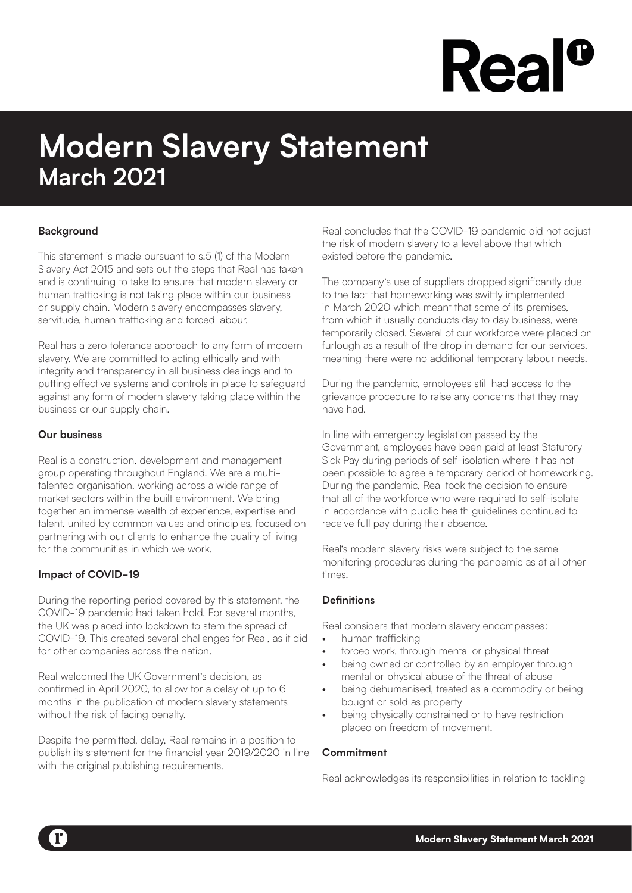# **Rea**

# **Modern Slavery Statement March 2021**

## **Background**

This statement is made pursuant to s.5 (1) of the Modern Slavery Act 2015 and sets out the steps that Real has taken and is continuing to take to ensure that modern slavery or human trafficking is not taking place within our business or supply chain. Modern slavery encompasses slavery, servitude, human trafficking and forced labour.

Real has a zero tolerance approach to any form of modern slavery. We are committed to acting ethically and with integrity and transparency in all business dealings and to putting effective systems and controls in place to safeguard against any form of modern slavery taking place within the business or our supply chain.

## **Our business**

Real is a construction, development and management group operating throughout England. We are a multitalented organisation, working across a wide range of market sectors within the built environment. We bring together an immense wealth of experience, expertise and talent, united by common values and principles, focused on partnering with our clients to enhance the quality of living for the communities in which we work.

## **Impact of COVID-19**

During the reporting period covered by this statement, the COVID-19 pandemic had taken hold. For several months, the UK was placed into lockdown to stem the spread of COVID-19. This created several challenges for Real, as it did for other companies across the nation.

Real welcomed the UK Government's decision, as confirmed in April 2020, to allow for a delay of up to 6 months in the publication of modern slavery statements without the risk of facing penalty.

Despite the permitted, delay, Real remains in a position to publish its statement for the financial year 2019/2020 in line with the original publishing requirements.

Real concludes that the COVID-19 pandemic did not adjust the risk of modern slavery to a level above that which existed before the pandemic.

The company's use of suppliers dropped significantly due to the fact that homeworking was swiftly implemented in March 2020 which meant that some of its premises, from which it usually conducts day to day business, were temporarily closed. Several of our workforce were placed on furlough as a result of the drop in demand for our services, meaning there were no additional temporary labour needs.

During the pandemic, employees still had access to the grievance procedure to raise any concerns that they may have had.

In line with emergency legislation passed by the Government, employees have been paid at least Statutory Sick Pay during periods of self-isolation where it has not been possible to agree a temporary period of homeworking. During the pandemic, Real took the decision to ensure that all of the workforce who were required to self-isolate in accordance with public health guidelines continued to receive full pay during their absence.

Real's modern slavery risks were subject to the same monitoring procedures during the pandemic as at all other times.

#### **Definitions**

Real considers that modern slavery encompasses:

- human trafficking
- forced work, through mental or physical threat
- being owned or controlled by an employer through mental or physical abuse of the threat of abuse
- being dehumanised, treated as a commodity or being bought or sold as property
- being physically constrained or to have restriction placed on freedom of movement.

#### **Commitment**

Real acknowledges its responsibilities in relation to tackling